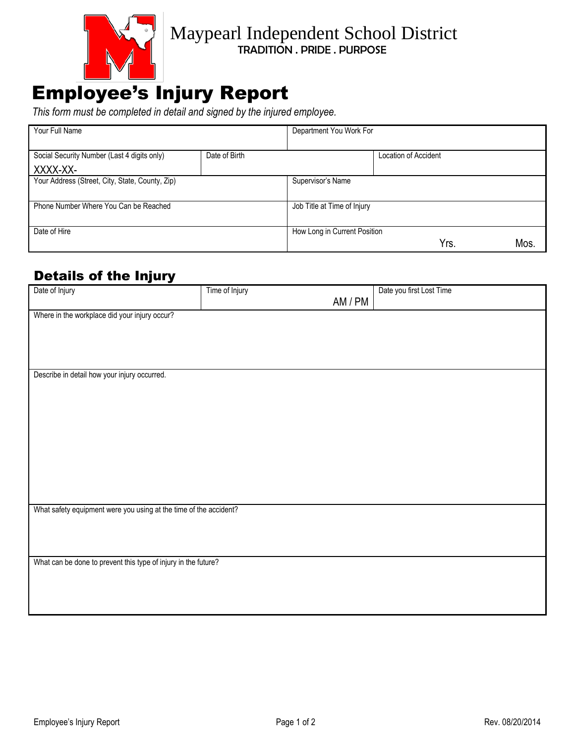

## Maypearl Independent School District TRADITION . PRIDE . PURPOSE

## Employee's Injury Report

*This form must be completed in detail and signed by the injured employee.*

| Your Full Name                                  |               | Department You Work For      |                      |      |     |
|-------------------------------------------------|---------------|------------------------------|----------------------|------|-----|
|                                                 |               |                              |                      |      |     |
| Social Security Number (Last 4 digits only)     | Date of Birth |                              | Location of Accident |      |     |
| XXXX-XX-                                        |               |                              |                      |      |     |
| Your Address (Street, City, State, County, Zip) |               | Supervisor's Name            |                      |      |     |
|                                                 |               |                              |                      |      |     |
| Phone Number Where You Can be Reached           |               | Job Title at Time of Injury  |                      |      |     |
|                                                 |               |                              |                      |      |     |
| Date of Hire                                    |               | How Long in Current Position |                      |      |     |
|                                                 |               |                              |                      | Yrs. | Mos |

## Details of the Injury

| Date of Injury                                                    | Time of Injury |         | Date you first Lost Time |  |  |  |
|-------------------------------------------------------------------|----------------|---------|--------------------------|--|--|--|
|                                                                   |                | AM / PM |                          |  |  |  |
|                                                                   |                |         |                          |  |  |  |
| Where in the workplace did your injury occur?                     |                |         |                          |  |  |  |
|                                                                   |                |         |                          |  |  |  |
|                                                                   |                |         |                          |  |  |  |
|                                                                   |                |         |                          |  |  |  |
|                                                                   |                |         |                          |  |  |  |
| Describe in detail how your injury occurred.                      |                |         |                          |  |  |  |
|                                                                   |                |         |                          |  |  |  |
|                                                                   |                |         |                          |  |  |  |
|                                                                   |                |         |                          |  |  |  |
|                                                                   |                |         |                          |  |  |  |
|                                                                   |                |         |                          |  |  |  |
|                                                                   |                |         |                          |  |  |  |
|                                                                   |                |         |                          |  |  |  |
|                                                                   |                |         |                          |  |  |  |
|                                                                   |                |         |                          |  |  |  |
|                                                                   |                |         |                          |  |  |  |
|                                                                   |                |         |                          |  |  |  |
| What safety equipment were you using at the time of the accident? |                |         |                          |  |  |  |
|                                                                   |                |         |                          |  |  |  |
|                                                                   |                |         |                          |  |  |  |
|                                                                   |                |         |                          |  |  |  |
|                                                                   |                |         |                          |  |  |  |
| What can be done to prevent this type of injury in the future?    |                |         |                          |  |  |  |
|                                                                   |                |         |                          |  |  |  |
|                                                                   |                |         |                          |  |  |  |
|                                                                   |                |         |                          |  |  |  |
|                                                                   |                |         |                          |  |  |  |
|                                                                   |                |         |                          |  |  |  |